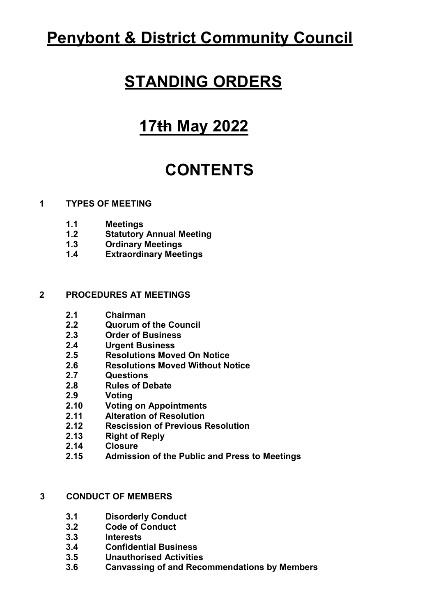# **Penybont & District Community Council**

# **STANDING ORDERS**

# **17th May 2022**

# **CONTENTS**

## **1 TYPES OF MEETING**

- **1.1 Meetings**
- **1.2 Statutory Annual Meeting**
- **1.3 Ordinary Meetings**
- **1.4 Extraordinary Meetings**

## **2 PROCEDURES AT MEETINGS**

- **2.1 Chairman**
- **2.2 Quorum of the Council**
- **2.3 Order of Business**
- **2.4 Urgent Business**
- **2.5 Resolutions Moved On Notice**
- **2.6 Resolutions Moved Without Notice**
- **2.7 Questions**
- **2.8 Rules of Debate**
- **2.9 Voting**
- **2.10 Voting on Appointments**
- **2.11 Alteration of Resolution**
- **2.12 Rescission of Previous Resolution**
- **2.13 Right of Reply**
- **2.14 Closure**
- **2.15 Admission of the Public and Press to Meetings**

# **3 CONDUCT OF MEMBERS**

- **3.1 Disorderly Conduct**
- **3.2 Code of Conduct**
- **3.3 Interests**
- **3.4 Confidential Business**
- **3.5 Unauthorised Activities**
- **3.6 Canvassing of and Recommendations by Members**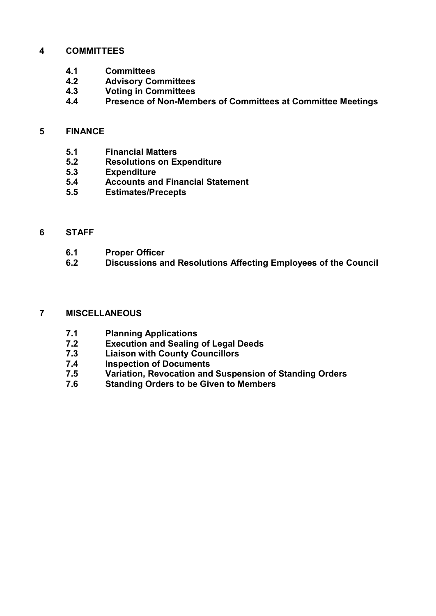#### **4 COMMITTEES**

- **4.1 Committees**
- **4.2 Advisory Committees**
- **4.3 Voting in Committees**
- **4.4 Presence of Non-Members of Committees at Committee Meetings**

#### **5 FINANCE**

- **5.1 Financial Matters**
- **5.2 Resolutions on Expenditure**
- **5.3 Expenditure**
- **5.4 Accounts and Financial Statement**
- **5.5 Estimates/Precepts**

#### **6 STAFF**

- **6.1 Proper Officer**
- **6.2 Discussions and Resolutions Affecting Employees of the Council**

#### **7 MISCELLANEOUS**

- **7.1 Planning Applications**
- **7.2 Execution and Sealing of Legal Deeds**
- **7.3 Liaison with County Councillors**
- **7.4 Inspection of Documents**
- **7.5 Variation, Revocation and Suspension of Standing Orders**
- **7.6 Standing Orders to be Given to Members**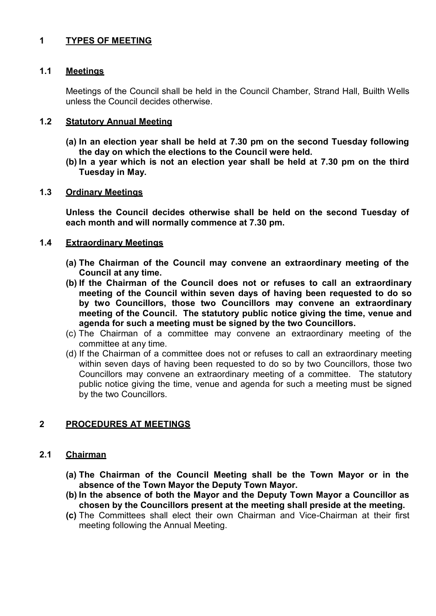# **1 TYPES OF MEETING**

#### **1.1 Meetings**

Meetings of the Council shall be held in the Council Chamber, Strand Hall, Builth Wells unless the Council decides otherwise.

#### **1.2 Statutory Annual Meeting**

- **(a) In an election year shall be held at 7.30 pm on the second Tuesday following the day on which the elections to the Council were held.**
- **(b) In a year which is not an election year shall be held at 7.30 pm on the third Tuesday in May.**

#### **1.3 Ordinary Meetings**

**Unless the Council decides otherwise shall be held on the second Tuesday of each month and will normally commence at 7.30 pm.**

#### **1.4 Extraordinary Meetings**

- **(a) The Chairman of the Council may convene an extraordinary meeting of the Council at any time.**
- **(b) If the Chairman of the Council does not or refuses to call an extraordinary meeting of the Council within seven days of having been requested to do so by two Councillors, those two Councillors may convene an extraordinary meeting of the Council. The statutory public notice giving the time, venue and agenda for such a meeting must be signed by the two Councillors.**
- (c) The Chairman of a committee may convene an extraordinary meeting of the committee at any time.
- (d) If the Chairman of a committee does not or refuses to call an extraordinary meeting within seven days of having been requested to do so by two Councillors, those two Councillors may convene an extraordinary meeting of a committee. The statutory public notice giving the time, venue and agenda for such a meeting must be signed by the two Councillors.

#### **2 PROCEDURES AT MEETINGS**

#### **2.1 Chairman**

- **(a) The Chairman of the Council Meeting shall be the Town Mayor or in the absence of the Town Mayor the Deputy Town Mayor.**
- **(b) In the absence of both the Mayor and the Deputy Town Mayor a Councillor as chosen by the Councillors present at the meeting shall preside at the meeting.**
- **(c)** The Committees shall elect their own Chairman and Vice-Chairman at their first meeting following the Annual Meeting.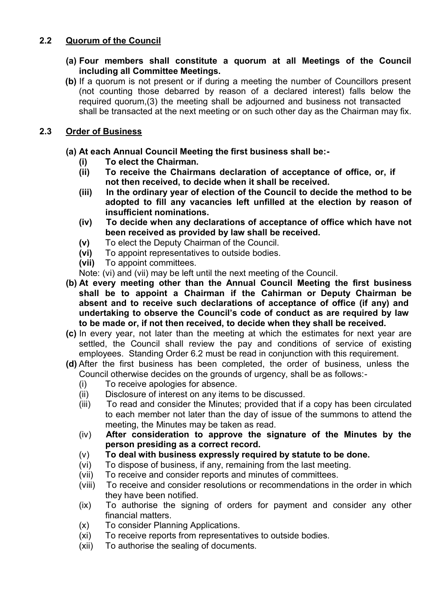# **2.2 Quorum of the Council**

- **(a) Four members shall constitute a quorum at all Meetings of the Council including all Committee Meetings.**
- **(b)** If a quorum is not present or if during a meeting the number of Councillors present (not counting those debarred by reason of a declared interest) falls below the required quorum,(3) the meeting shall be adjourned and business not transacted shall be transacted at the next meeting or on such other day as the Chairman may fix.

# **2.3 Order of Business**

- **(a) At each Annual Council Meeting the first business shall be:-**
	- **(i) To elect the Chairman.**
	- To receive the Chairmans declaration of acceptance of office, or, if **not then received, to decide when it shall be received.**
	- **(iii) In the ordinary year of election of the Council to decide the method to be adopted to fill any vacancies left unfilled at the election by reason of insufficient nominations.**
	- **(iv) To decide when any declarations of acceptance of office which have not been received as provided by law shall be received.**
	- **(v)** To elect the Deputy Chairman of the Council.
	- **(vi)** To appoint representatives to outside bodies.
	- **(vii)** To appoint committees.

Note: (vi) and (vii) may be left until the next meeting of the Council.

- **(b) At every meeting other than the Annual Council Meeting the first business shall be to appoint a Chairman if the Cahirman or Deputy Chairman be absent and to receive such declarations of acceptance of office (if any) and undertaking to observe the Council's code of conduct as are required by law to be made or, if not then received, to decide when they shall be received.**
- **(c)** In every year, not later than the meeting at which the estimates for next year are settled, the Council shall review the pay and conditions of service of existing employees. Standing Order 6.2 must be read in conjunction with this requirement.
- **(d)** After the first business has been completed, the order of business, unless the Council otherwise decides on the grounds of urgency, shall be as follows:-
	- (i) To receive apologies for absence.
	- (ii) Disclosure of interest on any items to be discussed.
	- (iii) To read and consider the Minutes; provided that if a copy has been circulated to each member not later than the day of issue of the summons to attend the meeting, the Minutes may be taken as read.
	- (iv) **After consideration to approve the signature of the Minutes by the person presiding as a correct record.**
	- (v) **To deal with business expressly required by statute to be done.**
	- (vi) To dispose of business, if any, remaining from the last meeting.
	- (vii) To receive and consider reports and minutes of committees.
	- (viii) To receive and consider resolutions or recommendations in the order in which they have been notified.
	- (ix) To authorise the signing of orders for payment and consider any other financial matters.
	- (x) To consider Planning Applications.
	- (xi) To receive reports from representatives to outside bodies.
	- (xii) To authorise the sealing of documents.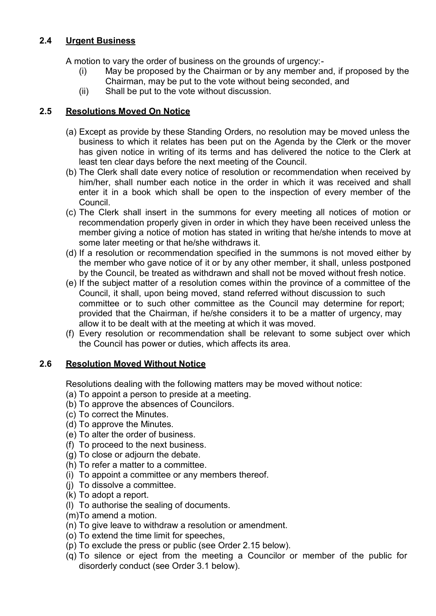# **2.4 Urgent Business**

A motion to vary the order of business on the grounds of urgency:-

- (i) May be proposed by the Chairman or by any member and, if proposed by the Chairman, may be put to the vote without being seconded, and
- (ii) Shall be put to the vote without discussion.

# **2.5 Resolutions Moved On Notice**

- (a) Except as provide by these Standing Orders, no resolution may be moved unless the business to which it relates has been put on the Agenda by the Clerk or the mover has given notice in writing of its terms and has delivered the notice to the Clerk at least ten clear days before the next meeting of the Council.
- (b) The Clerk shall date every notice of resolution or recommendation when received by him/her, shall number each notice in the order in which it was received and shall enter it in a book which shall be open to the inspection of every member of the Council.
- (c) The Clerk shall insert in the summons for every meeting all notices of motion or recommendation properly given in order in which they have been received unless the member giving a notice of motion has stated in writing that he/she intends to move at some later meeting or that he/she withdraws it.
- (d) If a resolution or recommendation specified in the summons is not moved either by the member who gave notice of it or by any other member, it shall, unless postponed by the Council, be treated as withdrawn and shall not be moved without fresh notice.
- (e) If the subject matter of a resolution comes within the province of a committee of the Council, it shall, upon being moved, stand referred without discussion to such committee or to such other committee as the Council may determine for report; provided that the Chairman, if he/she considers it to be a matter of urgency, may allow it to be dealt with at the meeting at which it was moved.
- (f) Every resolution or recommendation shall be relevant to some subject over which the Council has power or duties, which affects its area.

# **2.6 Resolution Moved Without Notice**

Resolutions dealing with the following matters may be moved without notice:

- (a) To appoint a person to preside at a meeting.
- (b) To approve the absences of Councilors.
- (c) To correct the Minutes.
- (d) To approve the Minutes.
- (e) To alter the order of business.
- (f) To proceed to the next business.
- (g) To close or adjourn the debate.
- (h) To refer a matter to a committee.
- (i) To appoint a committee or any members thereof.
- (j) To dissolve a committee.
- (k) To adopt a report.
- (l) To authorise the sealing of documents.
- (m)To amend a motion.
- (n) To give leave to withdraw a resolution or amendment.
- (o) To extend the time limit for speeches,
- (p) To exclude the press or public (see Order 2.15 below).
- (q) To silence or eject from the meeting a Councilor or member of the public for disorderly conduct (see Order 3.1 below).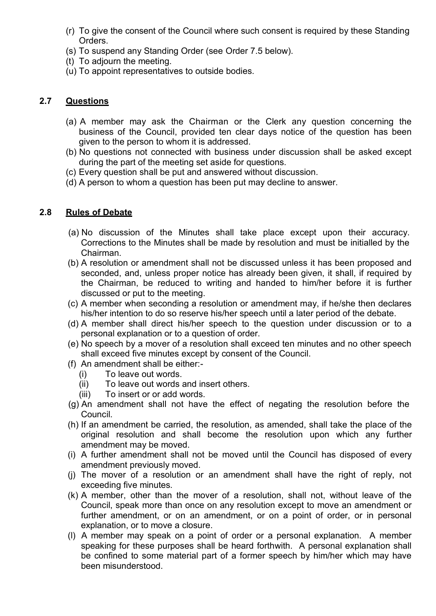- (r) To give the consent of the Council where such consent is required by these Standing Orders.
- (s) To suspend any Standing Order (see Order 7.5 below).
- (t) To adjourn the meeting.
- (u) To appoint representatives to outside bodies.

# **2.7 Questions**

- (a) A member may ask the Chairman or the Clerk any question concerning the business of the Council, provided ten clear days notice of the question has been given to the person to whom it is addressed.
- (b) No questions not connected with business under discussion shall be asked except during the part of the meeting set aside for questions.
- (c) Every question shall be put and answered without discussion.
- (d) A person to whom a question has been put may decline to answer.

## **2.8 Rules of Debate**

- (a) No discussion of the Minutes shall take place except upon their accuracy. Corrections to the Minutes shall be made by resolution and must be initialled by the Chairman.
- (b) A resolution or amendment shall not be discussed unless it has been proposed and seconded, and, unless proper notice has already been given, it shall, if required by the Chairman, be reduced to writing and handed to him/her before it is further discussed or put to the meeting.
- (c) A member when seconding a resolution or amendment may, if he/she then declares his/her intention to do so reserve his/her speech until a later period of the debate.
- (d) A member shall direct his/her speech to the question under discussion or to a personal explanation or to a question of order.
- (e) No speech by a mover of a resolution shall exceed ten minutes and no other speech shall exceed five minutes except by consent of the Council.
- (f) An amendment shall be either:-
	- (i) To leave out words.
	- (ii) To leave out words and insert others.
	- (iii) To insert or or add words.
- (g) An amendment shall not have the effect of negating the resolution before the Council.
- (h) If an amendment be carried, the resolution, as amended, shall take the place of the original resolution and shall become the resolution upon which any further amendment may be moved.
- (i) A further amendment shall not be moved until the Council has disposed of every amendment previously moved.
- (j) The mover of a resolution or an amendment shall have the right of reply, not exceeding five minutes.
- (k) A member, other than the mover of a resolution, shall not, without leave of the Council, speak more than once on any resolution except to move an amendment or further amendment, or on an amendment, or on a point of order, or in personal explanation, or to move a closure.
- (l) A member may speak on a point of order or a personal explanation. A member speaking for these purposes shall be heard forthwith. A personal explanation shall be confined to some material part of a former speech by him/her which may have been misunderstood.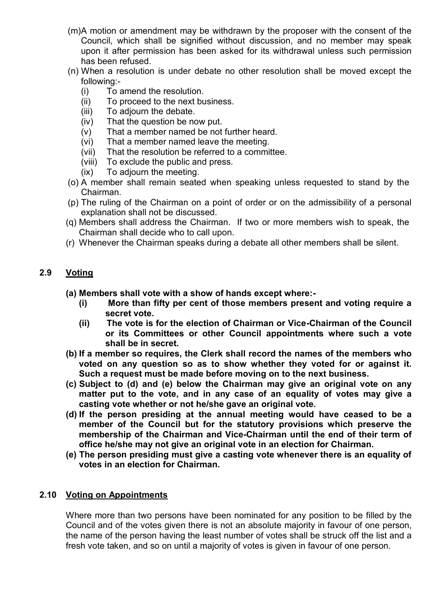- (m)A motion or amendment may be withdrawn by the proposer with the consent of the Council, which shall be signified without discussion, and no member may speak upon it after permission has been asked for its withdrawal unless such permission has been refused.
- (n) When a resolution is under debate no other resolution shall be moved except the following:-
	- (i) To amend the resolution.<br>(ii) To proceed to the next bu
	- To proceed to the next business.
	- (iii) To adjourn the debate.
	- (iv) That the question be now put.
	- (v) That a member named be not further heard.
	- (vi) That a member named leave the meeting.
	- (vii) That the resolution be referred to a committee.
	- (viii) To exclude the public and press.
	- (ix) To adjourn the meeting.
- (o) A member shall remain seated when speaking unless requested to stand by the Chairman.
- (p) The ruling of the Chairman on a point of order or on the admissibility of a personal explanation shall not be discussed.
- (q) Members shall address the Chairman. If two or more members wish to speak, the Chairman shall decide who to call upon.
- (r) Whenever the Chairman speaks during a debate all other members shall be silent.

# **2.9 Voting**

- **(a) Members shall vote with a show of hands except where:-**
	- **(i) More than fifty per cent of those members present and voting require a secret vote.**
	- **(ii) The vote is for the election of Chairman or Vice-Chairman of the Council or its Committees or other Council appointments where such a vote shall be in secret.**
- **(b) If a member so requires, the Clerk shall record the names of the members who voted on any question so as to show whether they voted for or against it. Such a request must be made before moving on to the next business.**
- **(c) Subject to (d) and (e) below the Chairman may give an original vote on any matter put to the vote, and in any case of an equality of votes may give a casting vote whether or not he/she gave an original vote.**
- **(d) If the person presiding at the annual meeting would have ceased to be a member of the Council but for the statutory provisions which preserve the membership of the Chairman and Vice-Chairman until the end of their term of office he/she may not give an original vote in an election for Chairman.**
- **(e) The person presiding must give a casting vote whenever there is an equality of votes in an election for Chairman.**

#### **2.10 Voting on Appointments**

Where more than two persons have been nominated for any position to be filled by the Council and of the votes given there is not an absolute majority in favour of one person, the name of the person having the least number of votes shall be struck off the list and a fresh vote taken, and so on until a majority of votes is given in favour of one person.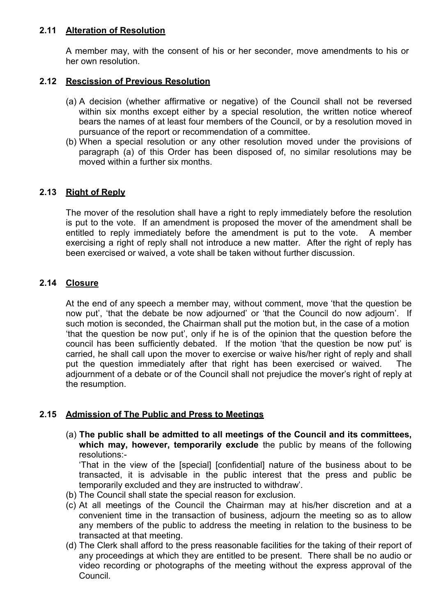# **2.11 Alteration of Resolution**

A member may, with the consent of his or her seconder, move amendments to his or her own resolution.

## **2.12 Rescission of Previous Resolution**

- (a) A decision (whether affirmative or negative) of the Council shall not be reversed within six months except either by a special resolution, the written notice whereof bears the names of at least four members of the Council, or by a resolution moved in pursuance of the report or recommendation of a committee.
- (b) When a special resolution or any other resolution moved under the provisions of paragraph (a) of this Order has been disposed of, no similar resolutions may be moved within a further six months.

# **2.13 Right of Reply**

The mover of the resolution shall have a right to reply immediately before the resolution is put to the vote. If an amendment is proposed the mover of the amendment shall be entitled to reply immediately before the amendment is put to the vote. A member exercising a right of reply shall not introduce a new matter. After the right of reply has been exercised or waived, a vote shall be taken without further discussion.

## **2.14 Closure**

At the end of any speech a member may, without comment, move 'that the question be now put', 'that the debate be now adjourned' or 'that the Council do now adjourn'. If such motion is seconded, the Chairman shall put the motion but, in the case of a motion 'that the question be now put', only if he is of the opinion that the question before the council has been sufficiently debated. If the motion 'that the question be now put' is carried, he shall call upon the mover to exercise or waive his/her right of reply and shall put the question immediately after that right has been exercised or waived. The adjournment of a debate or of the Council shall not prejudice the mover's right of reply at the resumption.

# **2.15 Admission of The Public and Press to Meetings**

(a) **The public shall be admitted to all meetings of the Council and its committees, which may, however, temporarily exclude** the public by means of the following resolutions:-

'That in the view of the [special] [confidential] nature of the business about to be transacted, it is advisable in the public interest that the press and public be temporarily excluded and they are instructed to withdraw'.

- (b) The Council shall state the special reason for exclusion.
- (c) At all meetings of the Council the Chairman may at his/her discretion and at a convenient time in the transaction of business, adjourn the meeting so as to allow any members of the public to address the meeting in relation to the business to be transacted at that meeting.
- (d) The Clerk shall afford to the press reasonable facilities for the taking of their report of any proceedings at which they are entitled to be present. There shall be no audio or video recording or photographs of the meeting without the express approval of the Council.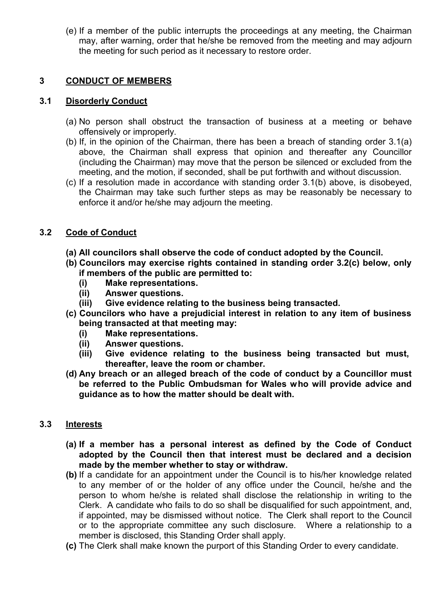(e) If a member of the public interrupts the proceedings at any meeting, the Chairman may, after warning, order that he/she be removed from the meeting and may adjourn the meeting for such period as it necessary to restore order.

# **3 CONDUCT OF MEMBERS**

#### **3.1 Disorderly Conduct**

- (a) No person shall obstruct the transaction of business at a meeting or behave offensively or improperly.
- (b) If, in the opinion of the Chairman, there has been a breach of standing order 3.1(a) above, the Chairman shall express that opinion and thereafter any Councillor (including the Chairman) may move that the person be silenced or excluded from the meeting, and the motion, if seconded, shall be put forthwith and without discussion.
- (c) If a resolution made in accordance with standing order 3.1(b) above, is disobeyed, the Chairman may take such further steps as may be reasonably be necessary to enforce it and/or he/she may adjourn the meeting.

## **3.2 Code of Conduct**

- **(a) All councilors shall observe the code of conduct adopted by the Council.**
- **(b) Councilors may exercise rights contained in standing order 3.2(c) below, only if members of the public are permitted to:**
	- **(i) Make representations.**
	- **(ii) Answer questions.**
	- **(iii) Give evidence relating to the business being transacted.**
- **(c) Councilors who have a prejudicial interest in relation to any item of business being transacted at that meeting may:**
	- **(i) Make representations.**
	- **(ii) Answer questions.**
	- **(iii) Give evidence relating to the business being transacted but must, thereafter, leave the room or chamber.**
- **(d) Any breach or an alleged breach of the code of conduct by a Councillor must be referred to the Public Ombudsman for Wales w ho will provide advice and guidance as to how the matter should be dealt with.**

## **3.3 Interests**

- **(a) If a member has a personal interest as defined by the Code of Conduct adopted by the Council then that interest must be declared and a decision made by the member whether to stay or withdraw.**
- **(b)** If a candidate for an appointment under the Council is to his/her knowledge related to any member of or the holder of any office under the Council, he/she and the person to whom he/she is related shall disclose the relationship in writing to the Clerk. A candidate who fails to do so shall be disqualified for such appointment, and, if appointed, may be dismissed without notice. The Clerk shall report to the Council or to the appropriate committee any such disclosure. Where a relationship to a member is disclosed, this Standing Order shall apply.
- **(c)** The Clerk shall make known the purport of this Standing Order to every candidate.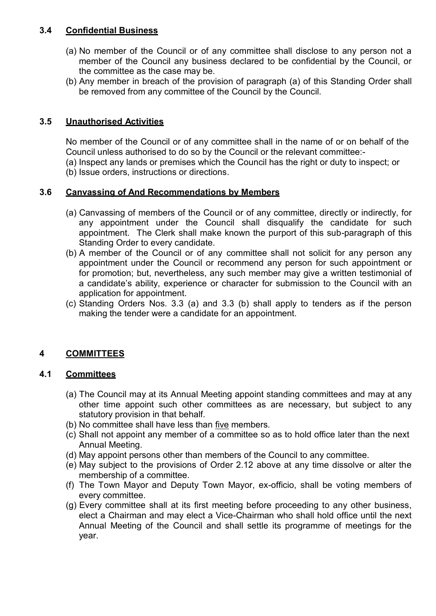# **3.4 Confidential Business**

- (a) No member of the Council or of any committee shall disclose to any person not a member of the Council any business declared to be confidential by the Council, or the committee as the case may be.
- (b) Any member in breach of the provision of paragraph (a) of this Standing Order shall be removed from any committee of the Council by the Council.

# **3.5 Unauthorised Activities**

No member of the Council or of any committee shall in the name of or on behalf of the Council unless authorised to do so by the Council or the relevant committee:-

(a) Inspect any lands or premises which the Council has the right or duty to inspect; or (b) Issue orders, instructions or directions.

# **3.6 Canvassing of And Recommendations by Members**

- (a) Canvassing of members of the Council or of any committee, directly or indirectly, for any appointment under the Council shall disqualify the candidate for such appointment. The Clerk shall make known the purport of this sub-paragraph of this Standing Order to every candidate.
- (b) A member of the Council or of any committee shall not solicit for any person any appointment under the Council or recommend any person for such appointment or for promotion; but, nevertheless, any such member may give a written testimonial of a candidate's ability, experience or character for submission to the Council with an application for appointment.
- (c) Standing Orders Nos. 3.3 (a) and 3.3 (b) shall apply to tenders as if the person making the tender were a candidate for an appointment.

# **4 COMMITTEES**

# **4.1 Committees**

- (a) The Council may at its Annual Meeting appoint standing committees and may at any other time appoint such other committees as are necessary, but subject to any statutory provision in that behalf.
- (b) No committee shall have less than five members.
- (c) Shall not appoint any member of a committee so as to hold office later than the next Annual Meeting.
- (d) May appoint persons other than members of the Council to any committee.
- (e) May subject to the provisions of Order 2.12 above at any time dissolve or alter the membership of a committee.
- (f) The Town Mayor and Deputy Town Mayor, ex-officio, shall be voting members of every committee.
- (g) Every committee shall at its first meeting before proceeding to any other business, elect a Chairman and may elect a Vice-Chairman who shall hold office until the next Annual Meeting of the Council and shall settle its programme of meetings for the year.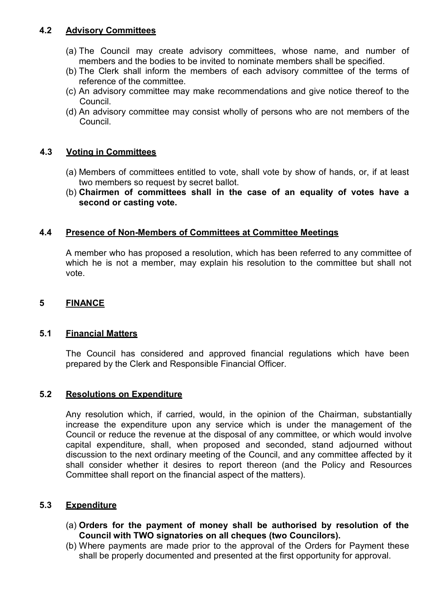# **4.2 Advisory Committees**

- (a) The Council may create advisory committees, whose name, and number of members and the bodies to be invited to nominate members shall be specified.
- (b) The Clerk shall inform the members of each advisory committee of the terms of reference of the committee.
- (c) An advisory committee may make recommendations and give notice thereof to the Council.
- (d) An advisory committee may consist wholly of persons who are not members of the Council.

#### **4.3 Voting in Committees**

- (a) Members of committees entitled to vote, shall vote by show of hands, or, if at least two members so request by secret ballot.
- (b) **Chairmen of committees shall in the case of an equality of votes have a second or casting vote.**

#### **4.4 Presence of Non-Members of Committees at Committee Meetings**

A member who has proposed a resolution, which has been referred to any committee of which he is not a member, may explain his resolution to the committee but shall not vote.

#### **5 FINANCE**

#### **5.1 Financial Matters**

The Council has considered and approved financial regulations which have been prepared by the Clerk and Responsible Financial Officer.

#### **5.2 Resolutions on Expenditure**

Any resolution which, if carried, would, in the opinion of the Chairman, substantially increase the expenditure upon any service which is under the management of the Council or reduce the revenue at the disposal of any committee, or which would involve capital expenditure, shall, when proposed and seconded, stand adjourned without discussion to the next ordinary meeting of the Council, and any committee affected by it shall consider whether it desires to report thereon (and the Policy and Resources Committee shall report on the financial aspect of the matters).

#### **5.3 Expenditure**

- (a) **Orders for the payment of money shall be authorised by resolution of the Council with TWO signatories on all cheques (two Councilors).**
- (b) Where payments are made prior to the approval of the Orders for Payment these shall be properly documented and presented at the first opportunity for approval.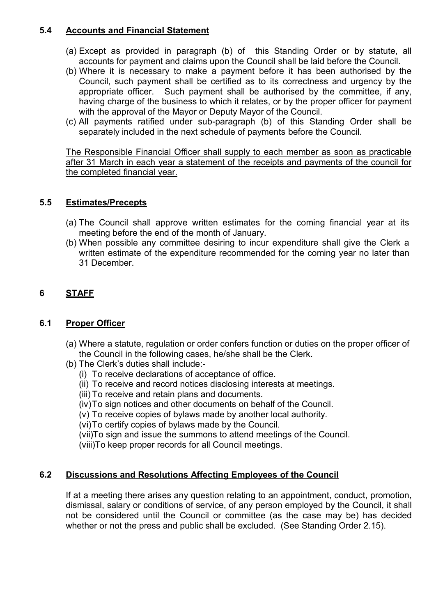# **5.4 Accounts and Financial Statement**

- (a) Except as provided in paragraph (b) of this Standing Order or by statute, all accounts for payment and claims upon the Council shall be laid before the Council.
- (b) Where it is necessary to make a payment before it has been authorised by the Council, such payment shall be certified as to its correctness and urgency by the appropriate officer. Such payment shall be authorised by the committee, if any, having charge of the business to which it relates, or by the proper officer for payment with the approval of the Mayor or Deputy Mayor of the Council.
- (c) All payments ratified under sub-paragraph (b) of this Standing Order shall be separately included in the next schedule of payments before the Council.

The Responsible Financial Officer shall supply to each member as soon as practicable after 31 March in each year a statement of the receipts and payments of the council for the completed financial year.

# **5.5 Estimates/Precepts**

- (a) The Council shall approve written estimates for the coming financial year at its meeting before the end of the month of January.
- (b) When possible any committee desiring to incur expenditure shall give the Clerk a written estimate of the expenditure recommended for the coming year no later than 31 December.

# **6 STAFF**

# **6.1 Proper Officer**

- (a) Where a statute, regulation or order confers function or duties on the proper officer of the Council in the following cases, he/she shall be the Clerk.
- (b) The Clerk's duties shall include:-
	- (i) To receive declarations of acceptance of office.
	- (ii) To receive and record notices disclosing interests at meetings.
	- (iii) To receive and retain plans and documents.
	- (iv) To sign notices and other documents on behalf of the Council.
	- (v) To receive copies of bylaws made by another local authority.

(vi) To certify copies of bylaws made by the Council.

(vii)To sign and issue the summons to attend meetings of the Council.

(viii)To keep proper records for all Council meetings.

# **6.2 Discussions and Resolutions Affecting Employees of the Council**

If at a meeting there arises any question relating to an appointment, conduct, promotion, dismissal, salary or conditions of service, of any person employed by the Council, it shall not be considered until the Council or committee (as the case may be) has decided whether or not the press and public shall be excluded. (See Standing Order 2.15).